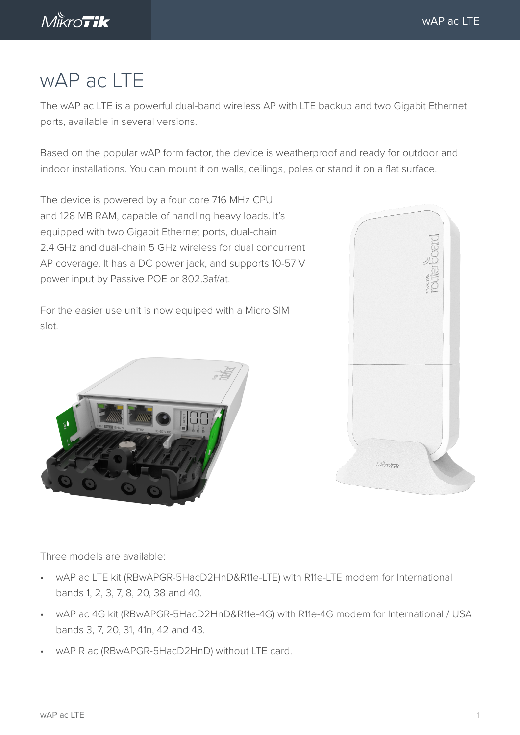

# wAP ac LTE

The wAP ac LTE is a powerful dual-band wireless AP with LTE backup and two Gigabit Ethernet ports, available in several versions.

Based on the popular wAP form factor, the device is weatherproof and ready for outdoor and indoor installations. You can mount it on walls, ceilings, poles or stand it on a flat surface.

The device is powered by a four core 716 MHz CPU and 128 MB RAM, capable of handling heavy loads. It's equipped with two Gigabit Ethernet ports, dual-chain 2.4 GHz and dual-chain 5 GHz wireless for dual concurrent AP coverage. It has a DC power jack, and supports 10-57 V power input by Passive POE or 802.3af/at.

For the easier use unit is now equiped with a Micro SIM slot.





Three models are available:

- wAP ac LTE kit (RBwAPGR-5HacD2HnD&R11e-LTE) with R11e-LTE modem for International bands 1, 2, 3, 7, 8, 20, 38 and 40.
- wAP ac 4G kit (RBwAPGR-5HacD2HnD&R11e-4G) with R11e-4G modem for International / USA bands 3, 7, 20, 31, 41n, 42 and 43.
- wAP R ac (RBwAPGR-5HacD2HnD) without LTE card.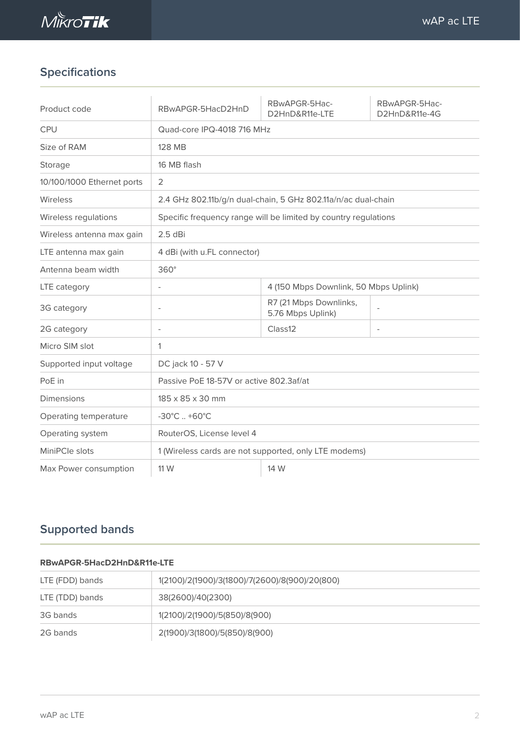

# **Specifications**

| Product code               | RBwAPGR-5HacD2HnD                                               | RBwAPGR-5Hac-<br>D2HnD&R11e-LTE             | RBwAPGR-5Hac-<br>D2HnD&R11e-4G |  |  |  |
|----------------------------|-----------------------------------------------------------------|---------------------------------------------|--------------------------------|--|--|--|
| <b>CPU</b>                 | Quad-core IPQ-4018 716 MHz                                      |                                             |                                |  |  |  |
| Size of RAM                | <b>128 MB</b>                                                   |                                             |                                |  |  |  |
| Storage                    | 16 MB flash                                                     |                                             |                                |  |  |  |
| 10/100/1000 Ethernet ports | 2                                                               |                                             |                                |  |  |  |
| Wireless                   | 2.4 GHz 802.11b/g/n dual-chain, 5 GHz 802.11a/n/ac dual-chain   |                                             |                                |  |  |  |
| Wireless regulations       | Specific frequency range will be limited by country regulations |                                             |                                |  |  |  |
| Wireless antenna max gain  | $2.5$ dBi                                                       |                                             |                                |  |  |  |
| LTE antenna max gain       | 4 dBi (with u.FL connector)                                     |                                             |                                |  |  |  |
| Antenna beam width         | $360^\circ$                                                     |                                             |                                |  |  |  |
| LTE category               | 4 (150 Mbps Downlink, 50 Mbps Uplink)                           |                                             |                                |  |  |  |
| 3G category                | $\overline{a}$                                                  | R7 (21 Mbps Downlinks,<br>5.76 Mbps Uplink) |                                |  |  |  |
| 2G category                | $\overline{a}$                                                  | Class12                                     | $\overline{\phantom{a}}$       |  |  |  |
| Micro SIM slot             | 1                                                               |                                             |                                |  |  |  |
| Supported input voltage    | DC jack 10 - 57 V                                               |                                             |                                |  |  |  |
| PoE in                     | Passive PoE 18-57V or active 802.3af/at                         |                                             |                                |  |  |  |
| <b>Dimensions</b>          | 185 x 85 x 30 mm                                                |                                             |                                |  |  |  |
| Operating temperature      | $-30^{\circ}$ C $+60^{\circ}$ C                                 |                                             |                                |  |  |  |
| Operating system           | RouterOS, License level 4                                       |                                             |                                |  |  |  |
| MiniPCle slots             | 1 (Wireless cards are not supported, only LTE modems)           |                                             |                                |  |  |  |
| Max Power consumption      | 11 W                                                            | 14 W                                        |                                |  |  |  |

## **Supported bands**

#### **RBwAPGR-5HacD2HnD&R11e-LTE**

| LTE (FDD) bands | 1(2100)/2(1900)/3(1800)/7(2600)/8(900)/20(800) |  |  |
|-----------------|------------------------------------------------|--|--|
| LTE (TDD) bands | 38(2600)/40(2300)                              |  |  |
| 3G bands        | 1(2100)/2(1900)/5(850)/8(900)                  |  |  |
| 2G bands        | 2(1900)/3(1800)/5(850)/8(900)                  |  |  |